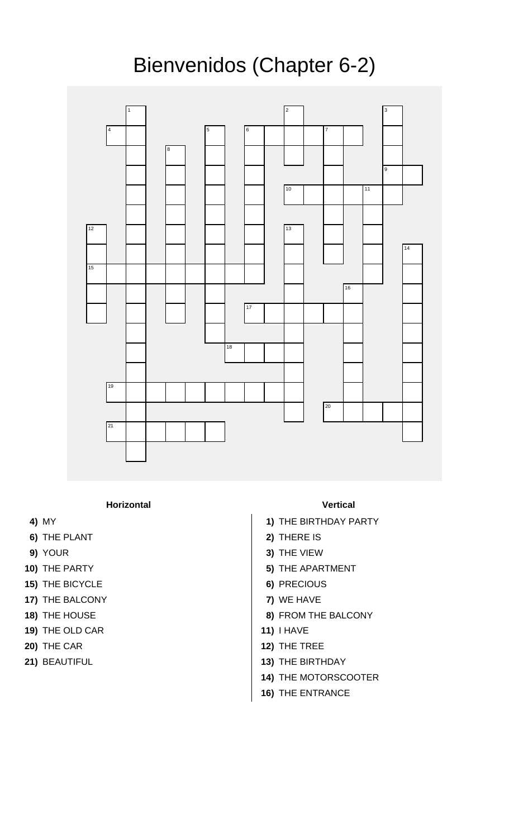## Bienvenidos (Chapter 6-2)



**Horizontal Vertical**

- 
- **6)** THE PLANT **2)** THERE IS
- 
- 
- **15)** THE BICYCLE **6)** PRECIOUS
- **17)** THE BALCONY **7)** WE HAVE
- 
- **19)** THE OLD CAR **11)** I HAVE
- 
- 

- **4)** MY **1)** THE BIRTHDAY PARTY
	-
- **9)** YOUR **3)** THE VIEW
- **10)** THE PARTY **5)** THE APARTMENT
	-
	-
- **18)** THE HOUSE **8)** FROM THE BALCONY
	-
- **20)** THE CAR **12)** THE TREE
- **21)** BEAUTIFUL **13)** THE BIRTHDAY
	- **14)** THE MOTORSCOOTER
	- **16)** THE ENTRANCE